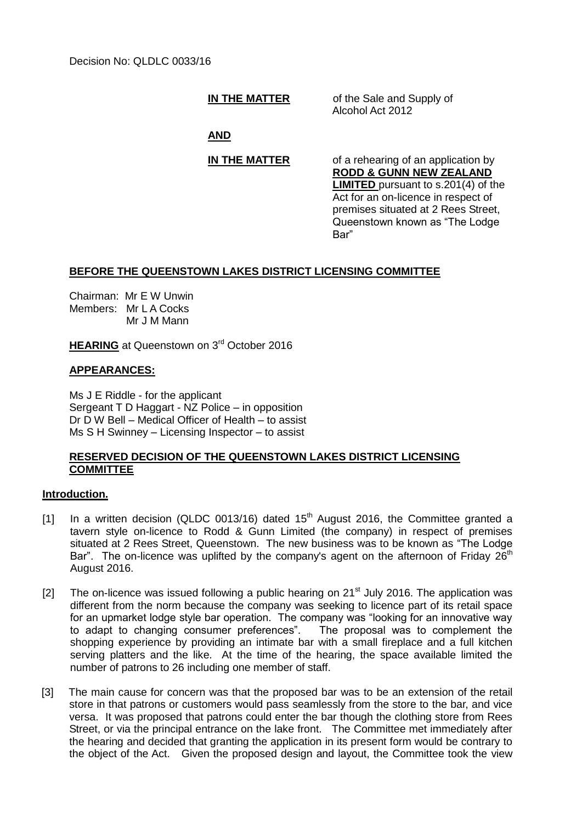**IN THE MATTER** of the Sale and Supply of Alcohol Act 2012

**AND**

**IN THE MATTER** of a rehearing of an application by **RODD & GUNN NEW ZEALAND LIMITED** pursuant to s.201(4) of the Act for an on-licence in respect of premises situated at 2 Rees Street, Queenstown known as "The Lodge Bar"

# **BEFORE THE QUEENSTOWN LAKES DISTRICT LICENSING COMMITTEE**

Chairman: Mr E W Unwin Members: Mr L A Cocks Mr J M Mann

**HEARING** at Queenstown on 3<sup>rd</sup> October 2016

# **APPEARANCES:**

Ms J E Riddle - for the applicant Sergeant T D Haggart - NZ Police – in opposition Dr D W Bell – Medical Officer of Health – to assist Ms S H Swinney – Licensing Inspector – to assist

### **RESERVED DECISION OF THE QUEENSTOWN LAKES DISTRICT LICENSING COMMITTEE**

### **Introduction.**

- [1] In a written decision (QLDC 0013/16) dated  $15<sup>th</sup>$  August 2016, the Committee granted a tavern style on-licence to Rodd & Gunn Limited (the company) in respect of premises situated at 2 Rees Street, Queenstown. The new business was to be known as "The Lodge Bar". The on-licence was uplifted by the company's agent on the afternoon of Friday  $26<sup>th</sup>$ August 2016.
- [2] The on-licence was issued following a public hearing on  $21<sup>st</sup>$  July 2016. The application was different from the norm because the company was seeking to licence part of its retail space for an upmarket lodge style bar operation. The company was "looking for an innovative way to adapt to changing consumer preferences". The proposal was to complement the shopping experience by providing an intimate bar with a small fireplace and a full kitchen serving platters and the like. At the time of the hearing, the space available limited the number of patrons to 26 including one member of staff.
- [3] The main cause for concern was that the proposed bar was to be an extension of the retail store in that patrons or customers would pass seamlessly from the store to the bar, and vice versa. It was proposed that patrons could enter the bar though the clothing store from Rees Street, or via the principal entrance on the lake front. The Committee met immediately after the hearing and decided that granting the application in its present form would be contrary to the object of the Act. Given the proposed design and layout, the Committee took the view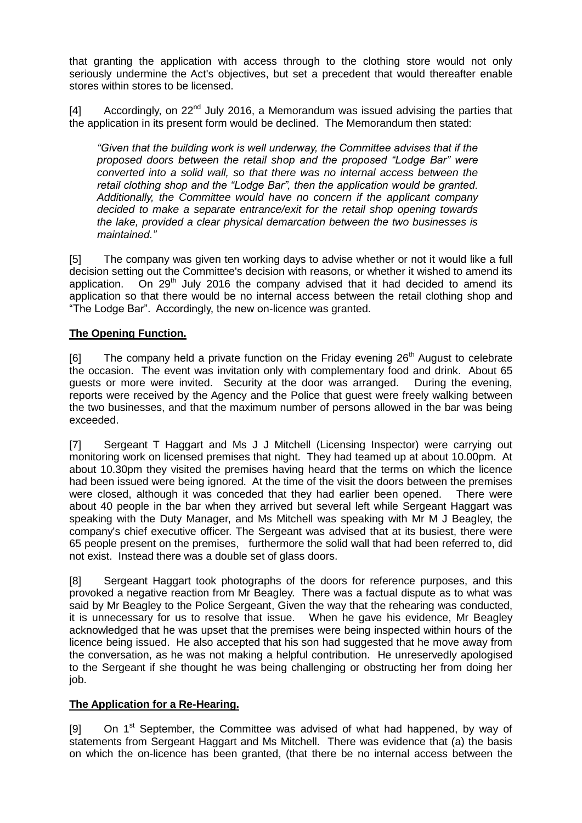that granting the application with access through to the clothing store would not only seriously undermine the Act's objectives, but set a precedent that would thereafter enable stores within stores to be licensed.

 $[4]$  Accordingly, on 22<sup>nd</sup> July 2016, a Memorandum was issued advising the parties that the application in its present form would be declined. The Memorandum then stated:

*"Given that the building work is well underway, the Committee advises that if the proposed doors between the retail shop and the proposed "Lodge Bar" were converted into a solid wall, so that there was no internal access between the retail clothing shop and the "Lodge Bar", then the application would be granted. Additionally, the Committee would have no concern if the applicant company decided to make a separate entrance/exit for the retail shop opening towards the lake, provided a clear physical demarcation between the two businesses is maintained."* 

[5] The company was given ten working days to advise whether or not it would like a full decision setting out the Committee's decision with reasons, or whether it wished to amend its application. On  $29<sup>th</sup>$  July 2016 the company advised that it had decided to amend its application so that there would be no internal access between the retail clothing shop and "The Lodge Bar". Accordingly, the new on-licence was granted.

# **The Opening Function.**

 $[6]$  The company held a private function on the Friday evening  $26<sup>th</sup>$  August to celebrate the occasion. The event was invitation only with complementary food and drink. About 65 guests or more were invited. Security at the door was arranged. During the evening, reports were received by the Agency and the Police that guest were freely walking between the two businesses, and that the maximum number of persons allowed in the bar was being exceeded.

[7] Sergeant T Haggart and Ms J J Mitchell (Licensing Inspector) were carrying out monitoring work on licensed premises that night. They had teamed up at about 10.00pm. At about 10.30pm they visited the premises having heard that the terms on which the licence had been issued were being ignored. At the time of the visit the doors between the premises were closed, although it was conceded that they had earlier been opened. There were about 40 people in the bar when they arrived but several left while Sergeant Haggart was speaking with the Duty Manager, and Ms Mitchell was speaking with Mr M J Beagley, the company's chief executive officer. The Sergeant was advised that at its busiest, there were 65 people present on the premises, furthermore the solid wall that had been referred to, did not exist. Instead there was a double set of glass doors.

[8] Sergeant Haggart took photographs of the doors for reference purposes, and this provoked a negative reaction from Mr Beagley. There was a factual dispute as to what was said by Mr Beagley to the Police Sergeant, Given the way that the rehearing was conducted, it is unnecessary for us to resolve that issue. When he gave his evidence, Mr Beagley acknowledged that he was upset that the premises were being inspected within hours of the licence being issued. He also accepted that his son had suggested that he move away from the conversation, as he was not making a helpful contribution. He unreservedly apologised to the Sergeant if she thought he was being challenging or obstructing her from doing her job.

# **The Application for a Re-Hearing.**

[9] On 1<sup>st</sup> September, the Committee was advised of what had happened, by way of statements from Sergeant Haggart and Ms Mitchell. There was evidence that (a) the basis on which the on-licence has been granted, (that there be no internal access between the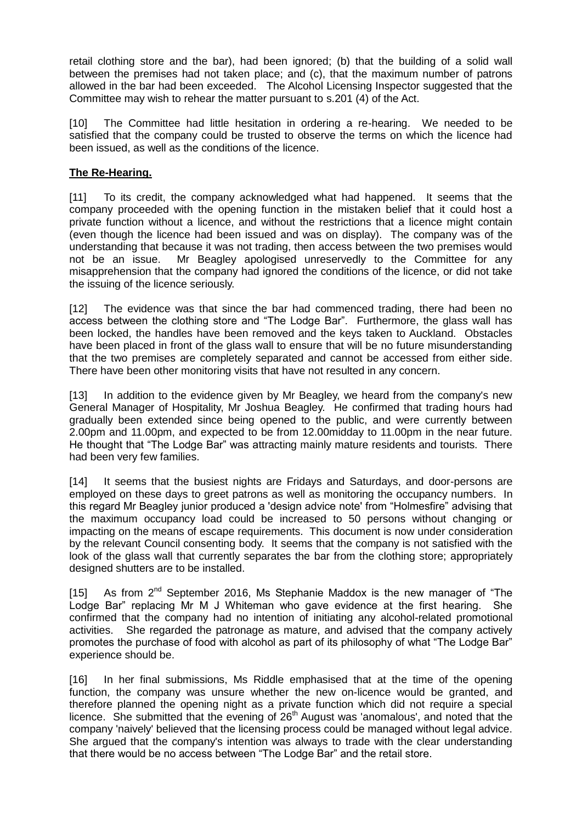retail clothing store and the bar), had been ignored; (b) that the building of a solid wall between the premises had not taken place; and (c), that the maximum number of patrons allowed in the bar had been exceeded. The Alcohol Licensing Inspector suggested that the Committee may wish to rehear the matter pursuant to s.201 (4) of the Act.

[10] The Committee had little hesitation in ordering a re-hearing. We needed to be satisfied that the company could be trusted to observe the terms on which the licence had been issued, as well as the conditions of the licence.

# **The Re-Hearing.**

[11] To its credit, the company acknowledged what had happened. It seems that the company proceeded with the opening function in the mistaken belief that it could host a private function without a licence, and without the restrictions that a licence might contain (even though the licence had been issued and was on display). The company was of the understanding that because it was not trading, then access between the two premises would not be an issue. Mr Beagley apologised unreservedly to the Committee for any misapprehension that the company had ignored the conditions of the licence, or did not take the issuing of the licence seriously.

[12] The evidence was that since the bar had commenced trading, there had been no access between the clothing store and "The Lodge Bar". Furthermore, the glass wall has been locked, the handles have been removed and the keys taken to Auckland. Obstacles have been placed in front of the glass wall to ensure that will be no future misunderstanding that the two premises are completely separated and cannot be accessed from either side. There have been other monitoring visits that have not resulted in any concern.

[13] In addition to the evidence given by Mr Beagley, we heard from the company's new General Manager of Hospitality, Mr Joshua Beagley. He confirmed that trading hours had gradually been extended since being opened to the public, and were currently between 2.00pm and 11.00pm, and expected to be from 12.00midday to 11.00pm in the near future. He thought that "The Lodge Bar" was attracting mainly mature residents and tourists. There had been very few families.

[14] It seems that the busiest nights are Fridays and Saturdays, and door-persons are employed on these days to greet patrons as well as monitoring the occupancy numbers. In this regard Mr Beagley junior produced a 'design advice note' from "Holmesfire" advising that the maximum occupancy load could be increased to 50 persons without changing or impacting on the means of escape requirements. This document is now under consideration by the relevant Council consenting body. It seems that the company is not satisfied with the look of the glass wall that currently separates the bar from the clothing store; appropriately designed shutters are to be installed.

[15] As from  $2^{nd}$  September 2016, Ms Stephanie Maddox is the new manager of "The Lodge Bar" replacing Mr M J Whiteman who gave evidence at the first hearing. She confirmed that the company had no intention of initiating any alcohol-related promotional activities. She regarded the patronage as mature, and advised that the company actively promotes the purchase of food with alcohol as part of its philosophy of what "The Lodge Bar" experience should be.

[16] In her final submissions, Ms Riddle emphasised that at the time of the opening function, the company was unsure whether the new on-licence would be granted, and therefore planned the opening night as a private function which did not require a special licence. She submitted that the evening of  $26<sup>th</sup>$  August was 'anomalous', and noted that the company 'naively' believed that the licensing process could be managed without legal advice. She argued that the company's intention was always to trade with the clear understanding that there would be no access between "The Lodge Bar" and the retail store.